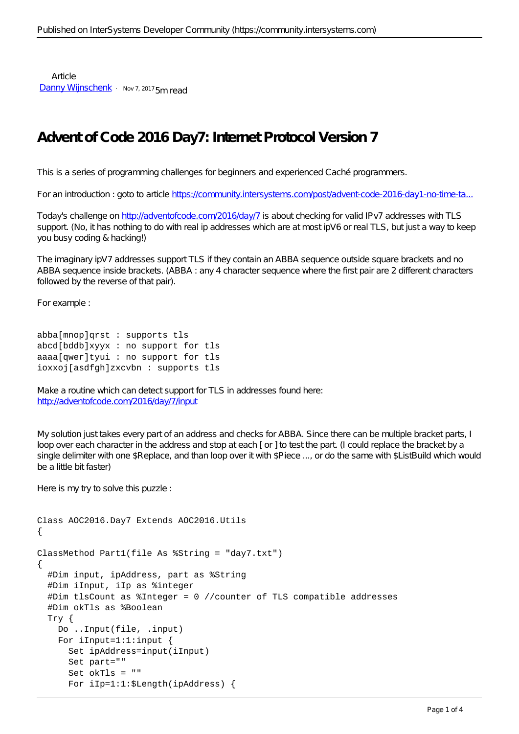Article [Danny Wijnschenk](https://community.intersystems.com/user/danny-wijnschenk) · Nov 7, 2017 5m read

## **Advent of Code 2016 Day7: Internet Protocol Version 7**

This is a series of programming challenges for beginners and experienced Caché programmers.

For an introduction : goto to article https://community.intersystems.com/post/advent-code-2016-day1-no-time-ta..

Today's challenge on<http://adventofcode.com/2016/day/7> is about checking for valid IPv7 addresses with TLS support. (No, it has nothing to do with real ip addresses which are at most ipV6 or real TLS, but just a way to keep you busy coding & hacking!)

The imaginary ipV7 addresses support TLS if they contain an ABBA sequence outside square brackets and no ABBA sequence inside brackets. (ABBA : any 4 character sequence where the first pair are 2 different characters followed by the reverse of that pair).

For example :

```
abba[mnop]qrst : supports tls
abcd[bddb]xyyx : no support for tls
aaaa[qwer]tyui : no support for tls
ioxxoj[asdfgh]zxcvbn : supports tls
```
Make a routine which can detect support for TLS in addresses found here: <http://adventofcode.com/2016/day/7/input>

My solution just takes every part of an address and checks for ABBA. Since there can be multiple bracket parts, I loop over each character in the address and stop at each [or ] to test the part. (I could replace the bracket by a single delimiter with one \$Replace, and than loop over it with \$Piece ..., or do the same with \$ListBuild which would be a little bit faster)

Here is my try to solve this puzzle :

```
Class AOC2016.Day7 Extends AOC2016.Utils
{
ClassMethod Part1(file As %String = "day7.txt")
{
   #Dim input, ipAddress, part as %String
   #Dim iInput, iIp as %integer
   #Dim tlsCount as %Integer = 0 //counter of TLS compatible addresses
   #Dim okTls as %Boolean
   Try {
     Do ..Input(file, .input)
     For iInput=1:1:input {
       Set ipAddress=input(iInput)
       Set part=""
       Set okTls = ""
       For iIp=1:1:$Length(ipAddress) {
```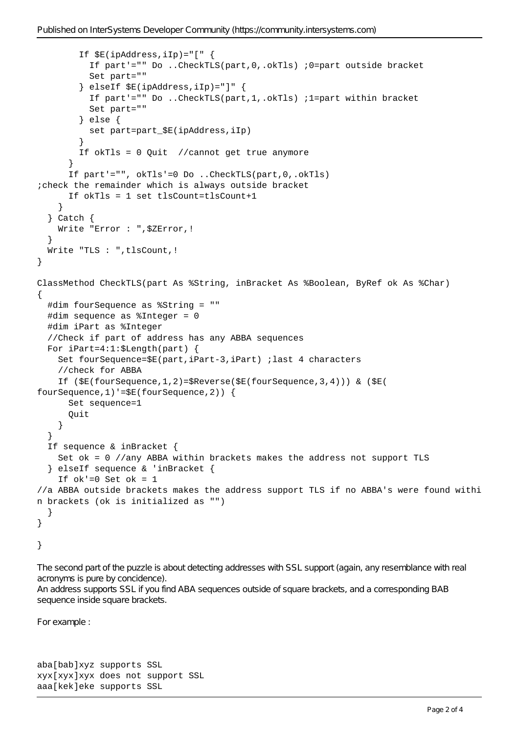```
 If $E(ipAddress,iIp)="[" {
           If part'="" Do ..CheckTLS(part,0,.okTls) ;0=part outside bracket
           Set part=""
         } elseIf $E(ipAddress,iIp)="]" {
           If part'="" Do ..CheckTLS(part,1,.okTls) ;1=part within bracket
           Set part=""
         } else {
          set part=part $E(ipAddress, iIp)
 }
         If okTls = 0 Quit //cannot get true anymore
       }
       If part'="", okTls'=0 Do ..CheckTLS(part,0,.okTls) 
;check the remainder which is always outside bracket
       If okTls = 1 set tlsCount=tlsCount+1
     }
   } Catch {
     Write "Error : ",$ZError,!
 }
   Write "TLS : ",tlsCount,!
}
ClassMethod CheckTLS(part As %String, inBracket As %Boolean, ByRef ok As %Char)
{
   #dim fourSequence as %String = ""
   #dim sequence as %Integer = 0
   #dim iPart as %Integer
   //Check if part of address has any ABBA sequences
   For iPart=4:1:$Length(part) {
     Set fourSequence=$E(part,iPart-3,iPart) ;last 4 characters
     //check for ABBA
     If ($E(fourSequence,1,2)=$Reverse($E(fourSequence,3,4))) & ($E(
fourSequence,1)'=$E(fourSequence,2)) {
       Set sequence=1
       Quit
     }
   }
   If sequence & inBracket {
     Set ok = 0 //any ABBA within brackets makes the address not support TLS
   } elseIf sequence & 'inBracket {
    If ok'=0 Set ok = 1//a ABBA outside brackets makes the address support TLS if no ABBA's were found withi
n brackets (ok is initialized as "")
   }
}
}
```
The second part of the puzzle is about detecting addresses with SSL support (again, any resemblance with real acronyms is pure by concidence). An address supports SSL if you find ABA sequences outside of square brackets, and a corresponding BAB sequence inside square brackets.

For example :

aba[bab]xyz supports SSL xyx[xyx]xyx does not support SSL aaa[kek]eke supports SSL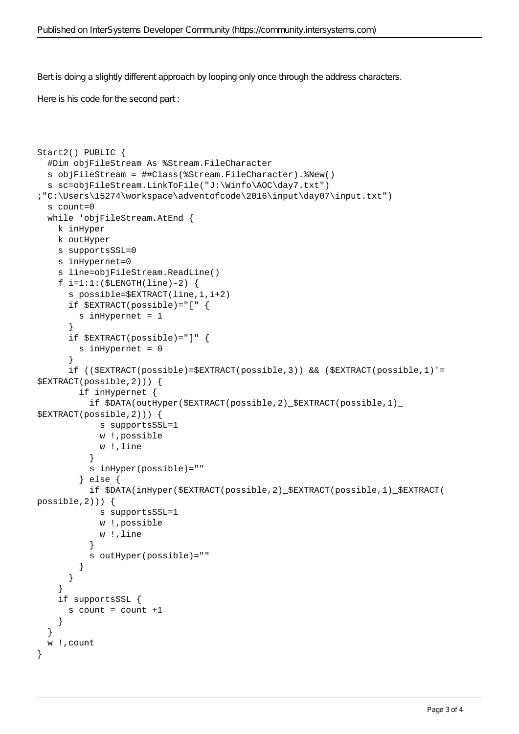Bert is doing a slightly different approach by looping only once through the address characters.

Here is his code for the second part :

```
Start2() PUBLIC {
   #Dim objFileStream As %Stream.FileCharacter
   s objFileStream = ##Class(%Stream.FileCharacter).%New()
   s sc=objFileStream.LinkToFile("J:\Winfo\AOC\day7.txt") 
;"C:\Users\15274\workspace\adventofcode\2016\input\day07\input.txt")
   s count=0
   while 'objFileStream.AtEnd {
     k inHyper
     k outHyper
     s supportsSSL=0
     s inHypernet=0
     s line=objFileStream.ReadLine()
    f i=1:1:($LENGTH(line)-2) {
       s possible=$EXTRACT(line,i,i+2)
       if $EXTRACT(possible)="[" {
         s inHypernet = 1
 }
       if $EXTRACT(possible)="]" { 
         s inHypernet = 0
       }
       if (($EXTRACT(possible)=$EXTRACT(possible,3)) && ($EXTRACT(possible,1)'=
$EXTRACT(possible,2))) {
         if inHypernet {
           if $DATA(outHyper($EXTRACT(possible,2)_$EXTRACT(possible,1)_
$EXTRACT(possible,2))) {
             s supportsSSL=1
             w !,possible
             w !,line
 }
           s inHyper(possible)=""
         } else {
           if $DATA(inHyper($EXTRACT(possible,2)_$EXTRACT(possible,1)_$EXTRACT(
possible,2))) {
             s supportsSSL=1
             w !,possible
             w !,line
 }
           s outHyper(possible)=""
 }
       }
     }
     if supportsSSL {
      s count = count +1 }
   }
   w !,count 
}
```